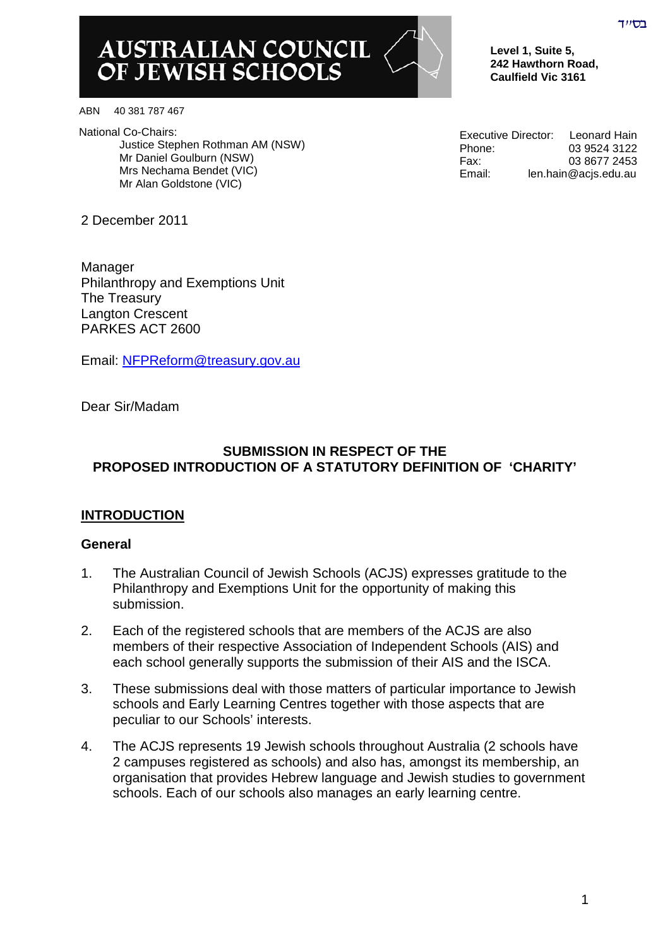# AUSTRALIAN COUNCIL<br>OF JEWISH SCHOOLS

**Level 1, Suite 5, 242 Hawthorn Road, Caulfield Vic 3161**

ABN 40 381 787 467

National Co-Chairs: Justice Stephen Rothman AM (NSW) Mr Daniel Goulburn (NSW) Mrs Nechama Bendet (VIC) Mr Alan Goldstone (VIC)

2 December 2011

Manager Philanthropy and Exemptions Unit The Treasury Langton Crescent PARKES ACT 2600

Email: [NFPReform@treasury.gov.au](mailto:NFPReform@treasury.gov.au)

Dear Sir/Madam

#### **SUBMISSION IN RESPECT OF THE PROPOSED INTRODUCTION OF A STATUTORY DEFINITION OF 'CHARITY'**

## **INTRODUCTION**

#### **General**

- 1. The Australian Council of Jewish Schools (ACJS) expresses gratitude to the Philanthropy and Exemptions Unit for the opportunity of making this submission.
- 2. Each of the registered schools that are members of the ACJS are also members of their respective Association of Independent Schools (AIS) and each school generally supports the submission of their AIS and the ISCA.
- 3. These submissions deal with those matters of particular importance to Jewish schools and Early Learning Centres together with those aspects that are peculiar to our Schools' interests.
- 4. The ACJS represents 19 Jewish schools throughout Australia (2 schools have 2 campuses registered as schools) and also has, amongst its membership, an organisation that provides Hebrew language and Jewish studies to government schools. Each of our schools also manages an early learning centre.

Executive Director: Leonard Hain Phone: 03 9524 3122 Fax: 03 8677 2453 Email: len.hain@acjs.edu.au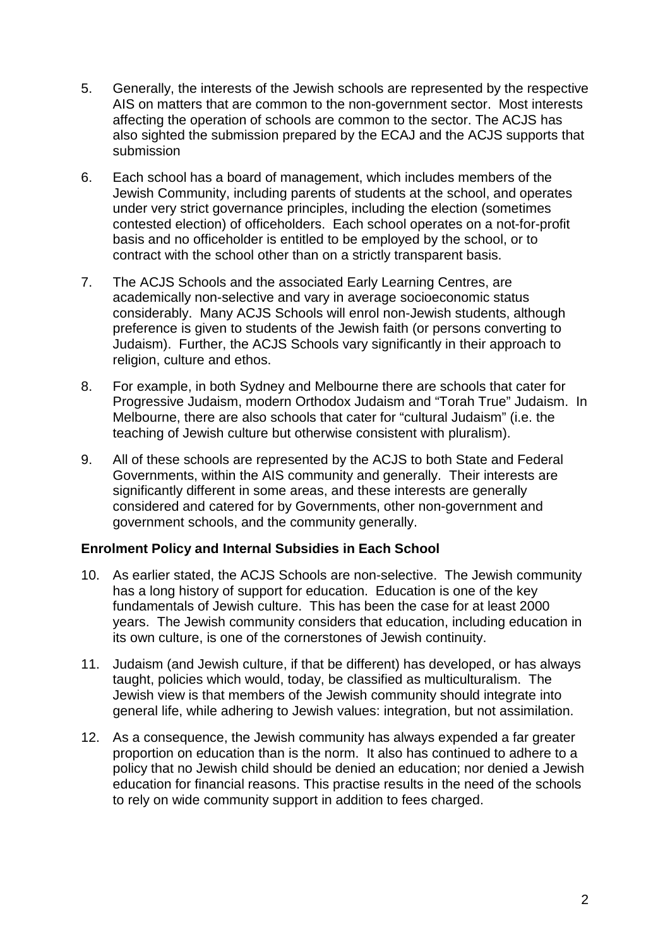- 5. Generally, the interests of the Jewish schools are represented by the respective AIS on matters that are common to the non-government sector. Most interests affecting the operation of schools are common to the sector. The ACJS has also sighted the submission prepared by the ECAJ and the ACJS supports that submission
- 6. Each school has a board of management, which includes members of the Jewish Community, including parents of students at the school, and operates under very strict governance principles, including the election (sometimes contested election) of officeholders. Each school operates on a not-for-profit basis and no officeholder is entitled to be employed by the school, or to contract with the school other than on a strictly transparent basis.
- 7. The ACJS Schools and the associated Early Learning Centres, are academically non-selective and vary in average socioeconomic status considerably. Many ACJS Schools will enrol non-Jewish students, although preference is given to students of the Jewish faith (or persons converting to Judaism). Further, the ACJS Schools vary significantly in their approach to religion, culture and ethos.
- 8. For example, in both Sydney and Melbourne there are schools that cater for Progressive Judaism, modern Orthodox Judaism and "Torah True" Judaism. In Melbourne, there are also schools that cater for "cultural Judaism" (i.e. the teaching of Jewish culture but otherwise consistent with pluralism).
- 9. All of these schools are represented by the ACJS to both State and Federal Governments, within the AIS community and generally. Their interests are significantly different in some areas, and these interests are generally considered and catered for by Governments, other non-government and government schools, and the community generally.

#### **Enrolment Policy and Internal Subsidies in Each School**

- 10. As earlier stated, the ACJS Schools are non-selective. The Jewish community has a long history of support for education. Education is one of the key fundamentals of Jewish culture. This has been the case for at least 2000 years. The Jewish community considers that education, including education in its own culture, is one of the cornerstones of Jewish continuity.
- 11. Judaism (and Jewish culture, if that be different) has developed, or has always taught, policies which would, today, be classified as multiculturalism. The Jewish view is that members of the Jewish community should integrate into general life, while adhering to Jewish values: integration, but not assimilation.
- 12. As a consequence, the Jewish community has always expended a far greater proportion on education than is the norm. It also has continued to adhere to a policy that no Jewish child should be denied an education; nor denied a Jewish education for financial reasons. This practise results in the need of the schools to rely on wide community support in addition to fees charged.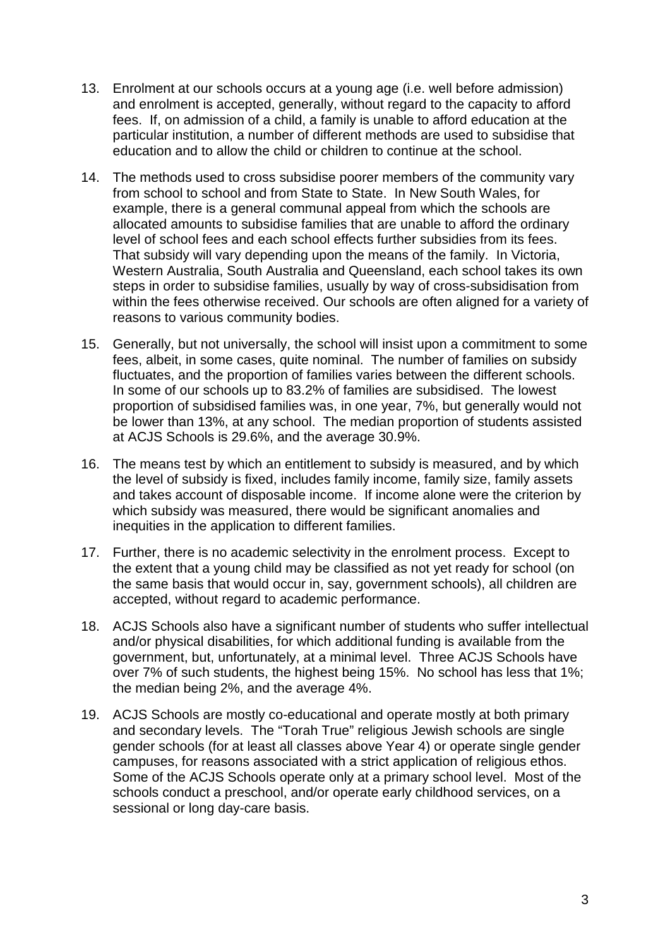- 13. Enrolment at our schools occurs at a young age (i.e. well before admission) and enrolment is accepted, generally, without regard to the capacity to afford fees. If, on admission of a child, a family is unable to afford education at the particular institution, a number of different methods are used to subsidise that education and to allow the child or children to continue at the school.
- 14. The methods used to cross subsidise poorer members of the community vary from school to school and from State to State. In New South Wales, for example, there is a general communal appeal from which the schools are allocated amounts to subsidise families that are unable to afford the ordinary level of school fees and each school effects further subsidies from its fees. That subsidy will vary depending upon the means of the family. In Victoria, Western Australia, South Australia and Queensland, each school takes its own steps in order to subsidise families, usually by way of cross-subsidisation from within the fees otherwise received. Our schools are often aligned for a variety of reasons to various community bodies.
- 15. Generally, but not universally, the school will insist upon a commitment to some fees, albeit, in some cases, quite nominal. The number of families on subsidy fluctuates, and the proportion of families varies between the different schools. In some of our schools up to 83.2% of families are subsidised. The lowest proportion of subsidised families was, in one year, 7%, but generally would not be lower than 13%, at any school. The median proportion of students assisted at ACJS Schools is 29.6%, and the average 30.9%.
- 16. The means test by which an entitlement to subsidy is measured, and by which the level of subsidy is fixed, includes family income, family size, family assets and takes account of disposable income. If income alone were the criterion by which subsidy was measured, there would be significant anomalies and inequities in the application to different families.
- 17. Further, there is no academic selectivity in the enrolment process. Except to the extent that a young child may be classified as not yet ready for school (on the same basis that would occur in, say, government schools), all children are accepted, without regard to academic performance.
- 18. ACJS Schools also have a significant number of students who suffer intellectual and/or physical disabilities, for which additional funding is available from the government, but, unfortunately, at a minimal level. Three ACJS Schools have over 7% of such students, the highest being 15%. No school has less that 1%; the median being 2%, and the average 4%.
- 19. ACJS Schools are mostly co-educational and operate mostly at both primary and secondary levels. The "Torah True" religious Jewish schools are single gender schools (for at least all classes above Year 4) or operate single gender campuses, for reasons associated with a strict application of religious ethos. Some of the ACJS Schools operate only at a primary school level. Most of the schools conduct a preschool, and/or operate early childhood services, on a sessional or long day-care basis.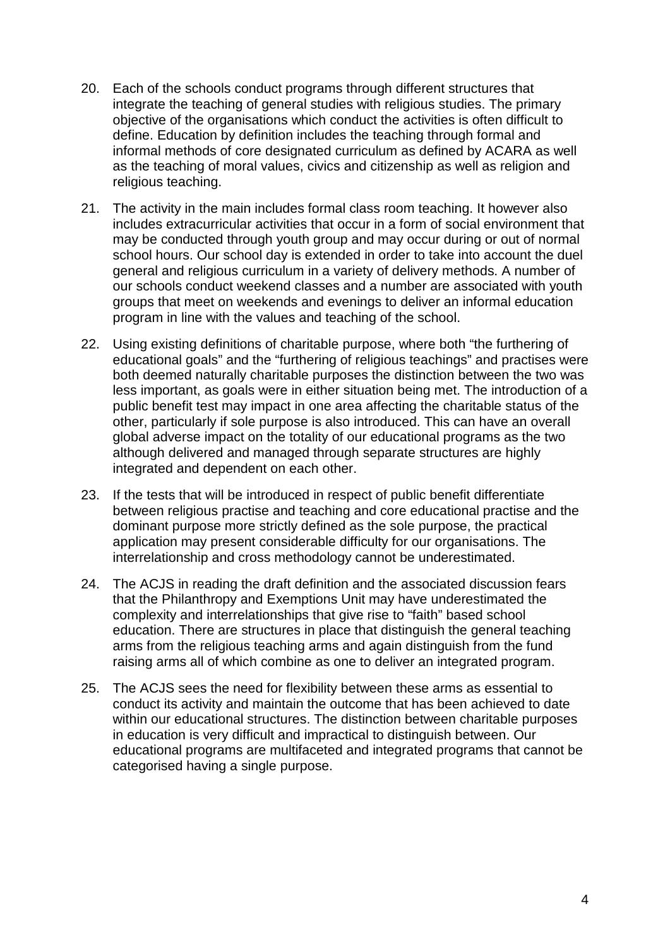- 20. Each of the schools conduct programs through different structures that integrate the teaching of general studies with religious studies. The primary objective of the organisations which conduct the activities is often difficult to define. Education by definition includes the teaching through formal and informal methods of core designated curriculum as defined by ACARA as well as the teaching of moral values, civics and citizenship as well as religion and religious teaching.
- 21. The activity in the main includes formal class room teaching. It however also includes extracurricular activities that occur in a form of social environment that may be conducted through youth group and may occur during or out of normal school hours. Our school day is extended in order to take into account the duel general and religious curriculum in a variety of delivery methods. A number of our schools conduct weekend classes and a number are associated with youth groups that meet on weekends and evenings to deliver an informal education program in line with the values and teaching of the school.
- 22. Using existing definitions of charitable purpose, where both "the furthering of educational goals" and the "furthering of religious teachings" and practises were both deemed naturally charitable purposes the distinction between the two was less important, as goals were in either situation being met. The introduction of a public benefit test may impact in one area affecting the charitable status of the other, particularly if sole purpose is also introduced. This can have an overall global adverse impact on the totality of our educational programs as the two although delivered and managed through separate structures are highly integrated and dependent on each other.
- 23. If the tests that will be introduced in respect of public benefit differentiate between religious practise and teaching and core educational practise and the dominant purpose more strictly defined as the sole purpose, the practical application may present considerable difficulty for our organisations. The interrelationship and cross methodology cannot be underestimated.
- 24. The ACJS in reading the draft definition and the associated discussion fears that the Philanthropy and Exemptions Unit may have underestimated the complexity and interrelationships that give rise to "faith" based school education. There are structures in place that distinguish the general teaching arms from the religious teaching arms and again distinguish from the fund raising arms all of which combine as one to deliver an integrated program.
- 25. The ACJS sees the need for flexibility between these arms as essential to conduct its activity and maintain the outcome that has been achieved to date within our educational structures. The distinction between charitable purposes in education is very difficult and impractical to distinguish between. Our educational programs are multifaceted and integrated programs that cannot be categorised having a single purpose.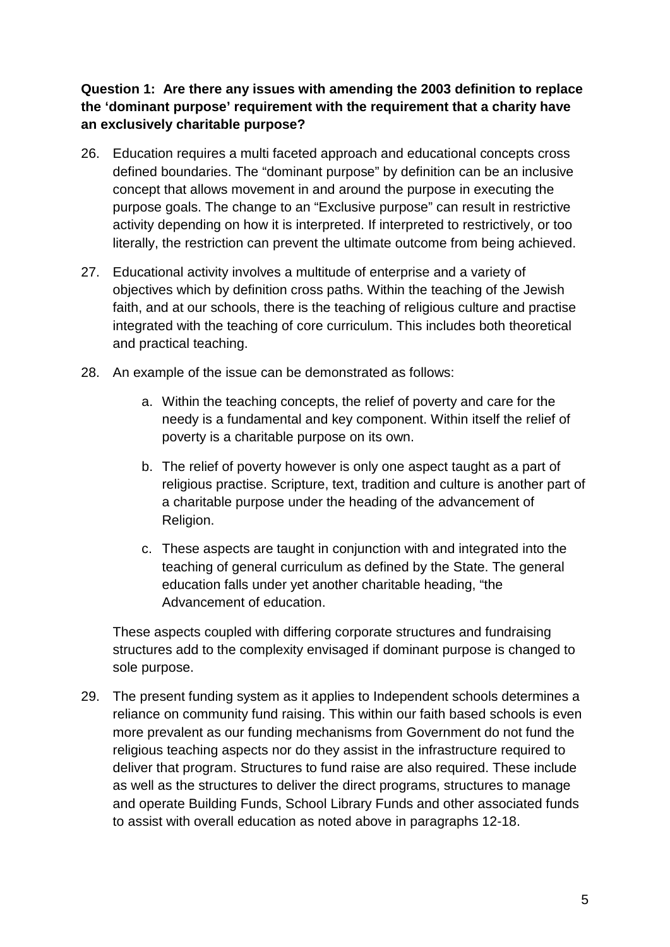# **Question 1: Are there any issues with amending the 2003 definition to replace the 'dominant purpose' requirement with the requirement that a charity have an exclusively charitable purpose?**

- 26. Education requires a multi faceted approach and educational concepts cross defined boundaries. The "dominant purpose" by definition can be an inclusive concept that allows movement in and around the purpose in executing the purpose goals. The change to an "Exclusive purpose" can result in restrictive activity depending on how it is interpreted. If interpreted to restrictively, or too literally, the restriction can prevent the ultimate outcome from being achieved.
- 27. Educational activity involves a multitude of enterprise and a variety of objectives which by definition cross paths. Within the teaching of the Jewish faith, and at our schools, there is the teaching of religious culture and practise integrated with the teaching of core curriculum. This includes both theoretical and practical teaching.
- 28. An example of the issue can be demonstrated as follows:
	- a. Within the teaching concepts, the relief of poverty and care for the needy is a fundamental and key component. Within itself the relief of poverty is a charitable purpose on its own.
	- b. The relief of poverty however is only one aspect taught as a part of religious practise. Scripture, text, tradition and culture is another part of a charitable purpose under the heading of the advancement of Religion.
	- c. These aspects are taught in conjunction with and integrated into the teaching of general curriculum as defined by the State. The general education falls under yet another charitable heading, "the Advancement of education.

These aspects coupled with differing corporate structures and fundraising structures add to the complexity envisaged if dominant purpose is changed to sole purpose.

29. The present funding system as it applies to Independent schools determines a reliance on community fund raising. This within our faith based schools is even more prevalent as our funding mechanisms from Government do not fund the religious teaching aspects nor do they assist in the infrastructure required to deliver that program. Structures to fund raise are also required. These include as well as the structures to deliver the direct programs, structures to manage and operate Building Funds, School Library Funds and other associated funds to assist with overall education as noted above in paragraphs 12-18.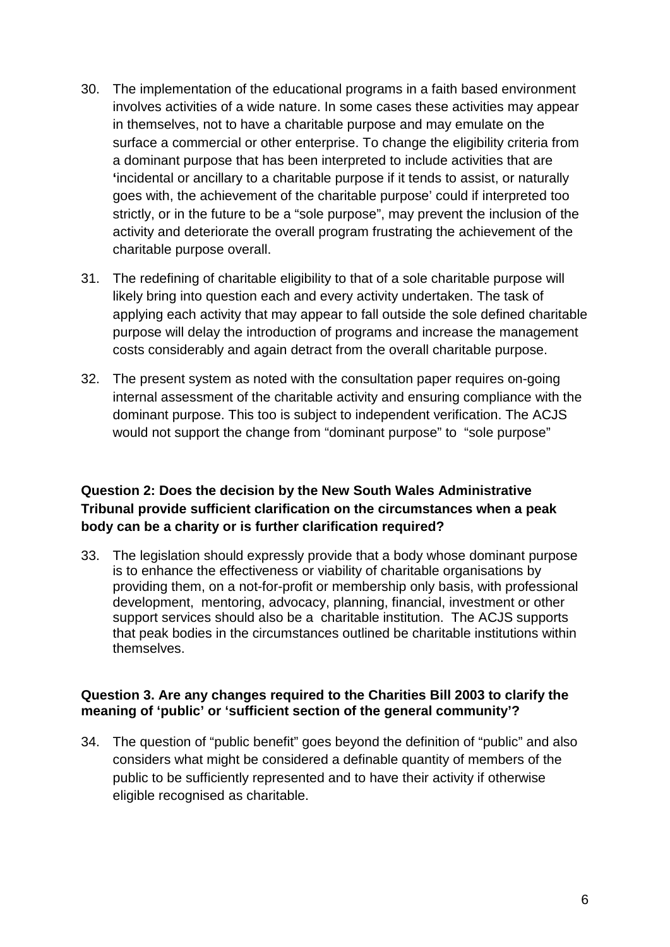- 30. The implementation of the educational programs in a faith based environment involves activities of a wide nature. In some cases these activities may appear in themselves, not to have a charitable purpose and may emulate on the surface a commercial or other enterprise. To change the eligibility criteria from a dominant purpose that has been interpreted to include activities that are **'**incidental or ancillary to a charitable purpose if it tends to assist, or naturally goes with, the achievement of the charitable purpose' could if interpreted too strictly, or in the future to be a "sole purpose", may prevent the inclusion of the activity and deteriorate the overall program frustrating the achievement of the charitable purpose overall.
- 31. The redefining of charitable eligibility to that of a sole charitable purpose will likely bring into question each and every activity undertaken. The task of applying each activity that may appear to fall outside the sole defined charitable purpose will delay the introduction of programs and increase the management costs considerably and again detract from the overall charitable purpose.
- 32. The present system as noted with the consultation paper requires on-going internal assessment of the charitable activity and ensuring compliance with the dominant purpose. This too is subject to independent verification. The ACJS would not support the change from "dominant purpose" to "sole purpose"

## **Question 2: Does the decision by the New South Wales Administrative Tribunal provide sufficient clarification on the circumstances when a peak body can be a charity or is further clarification required?**

33. The legislation should expressly provide that a body whose dominant purpose is to enhance the effectiveness or viability of charitable organisations by providing them, on a not-for-profit or membership only basis, with professional development, mentoring, advocacy, planning, financial, investment or other support services should also be a charitable institution. The ACJS supports that peak bodies in the circumstances outlined be charitable institutions within themselves.

#### **Question 3. Are any changes required to the Charities Bill 2003 to clarify the meaning of 'public' or 'sufficient section of the general community'?**

34. The question of "public benefit" goes beyond the definition of "public" and also considers what might be considered a definable quantity of members of the public to be sufficiently represented and to have their activity if otherwise eligible recognised as charitable.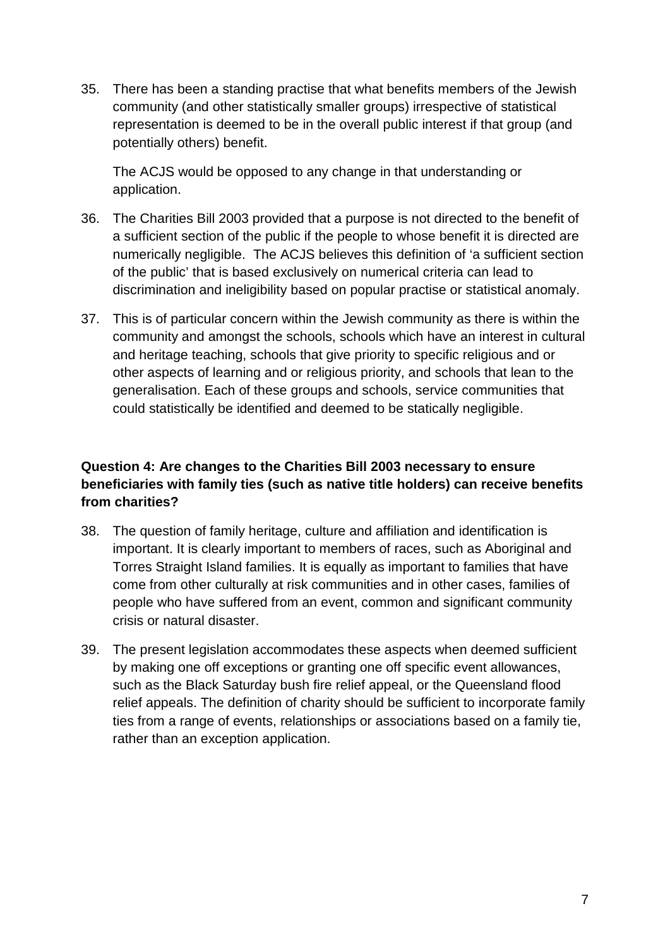35. There has been a standing practise that what benefits members of the Jewish community (and other statistically smaller groups) irrespective of statistical representation is deemed to be in the overall public interest if that group (and potentially others) benefit.

The ACJS would be opposed to any change in that understanding or application.

- 36. The Charities Bill 2003 provided that a purpose is not directed to the benefit of a sufficient section of the public if the people to whose benefit it is directed are numerically negligible. The ACJS believes this definition of 'a sufficient section of the public' that is based exclusively on numerical criteria can lead to discrimination and ineligibility based on popular practise or statistical anomaly.
- 37. This is of particular concern within the Jewish community as there is within the community and amongst the schools, schools which have an interest in cultural and heritage teaching, schools that give priority to specific religious and or other aspects of learning and or religious priority, and schools that lean to the generalisation. Each of these groups and schools, service communities that could statistically be identified and deemed to be statically negligible.

# **Question 4: Are changes to the Charities Bill 2003 necessary to ensure beneficiaries with family ties (such as native title holders) can receive benefits from charities?**

- 38. The question of family heritage, culture and affiliation and identification is important. It is clearly important to members of races, such as Aboriginal and Torres Straight Island families. It is equally as important to families that have come from other culturally at risk communities and in other cases, families of people who have suffered from an event, common and significant community crisis or natural disaster.
- 39. The present legislation accommodates these aspects when deemed sufficient by making one off exceptions or granting one off specific event allowances, such as the Black Saturday bush fire relief appeal, or the Queensland flood relief appeals. The definition of charity should be sufficient to incorporate family ties from a range of events, relationships or associations based on a family tie, rather than an exception application.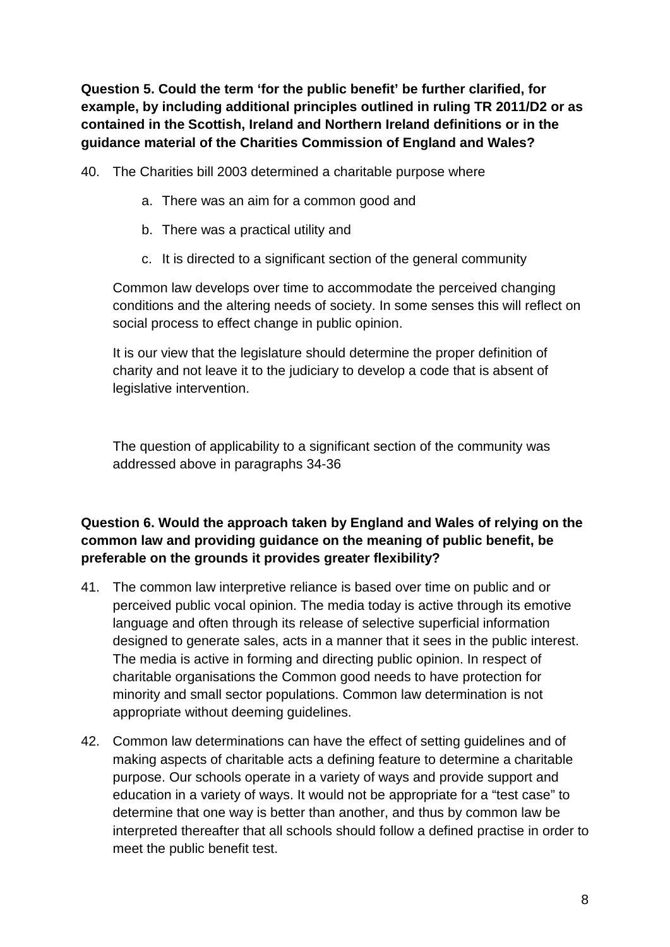**Question 5. Could the term 'for the public benefit' be further clarified, for example, by including additional principles outlined in ruling TR 2011/D2 or as contained in the Scottish, Ireland and Northern Ireland definitions or in the guidance material of the Charities Commission of England and Wales?** 

40. The Charities bill 2003 determined a charitable purpose where

- a. There was an aim for a common good and
- b. There was a practical utility and
- c. It is directed to a significant section of the general community

Common law develops over time to accommodate the perceived changing conditions and the altering needs of society. In some senses this will reflect on social process to effect change in public opinion.

It is our view that the legislature should determine the proper definition of charity and not leave it to the judiciary to develop a code that is absent of legislative intervention.

The question of applicability to a significant section of the community was addressed above in paragraphs 34-36

# **Question 6. Would the approach taken by England and Wales of relying on the common law and providing guidance on the meaning of public benefit, be preferable on the grounds it provides greater flexibility?**

- 41. The common law interpretive reliance is based over time on public and or perceived public vocal opinion. The media today is active through its emotive language and often through its release of selective superficial information designed to generate sales, acts in a manner that it sees in the public interest. The media is active in forming and directing public opinion. In respect of charitable organisations the Common good needs to have protection for minority and small sector populations. Common law determination is not appropriate without deeming guidelines.
- 42. Common law determinations can have the effect of setting guidelines and of making aspects of charitable acts a defining feature to determine a charitable purpose. Our schools operate in a variety of ways and provide support and education in a variety of ways. It would not be appropriate for a "test case" to determine that one way is better than another, and thus by common law be interpreted thereafter that all schools should follow a defined practise in order to meet the public benefit test.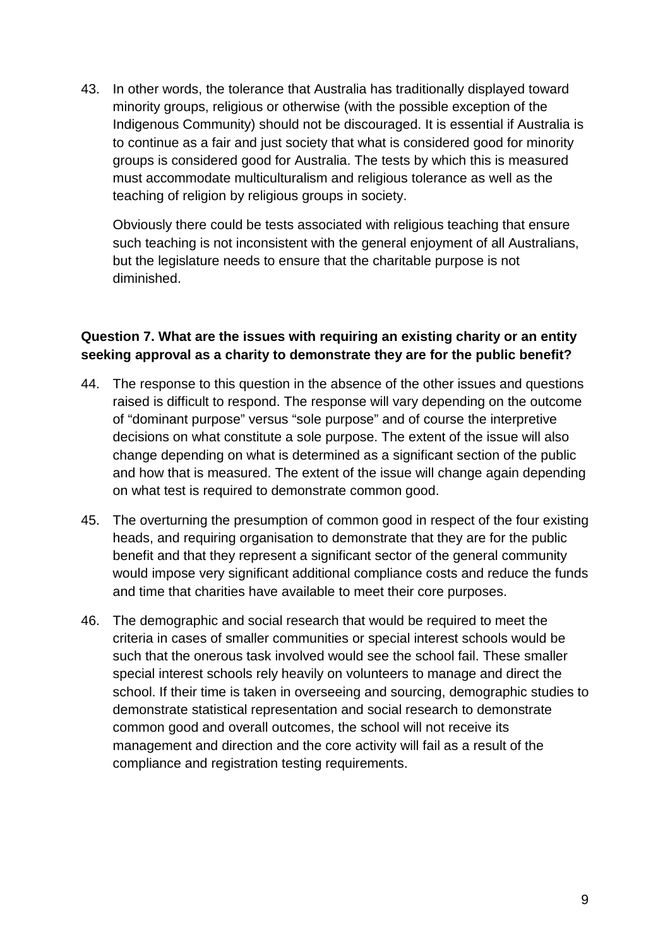43. In other words, the tolerance that Australia has traditionally displayed toward minority groups, religious or otherwise (with the possible exception of the Indigenous Community) should not be discouraged. It is essential if Australia is to continue as a fair and just society that what is considered good for minority groups is considered good for Australia. The tests by which this is measured must accommodate multiculturalism and religious tolerance as well as the teaching of religion by religious groups in society.

Obviously there could be tests associated with religious teaching that ensure such teaching is not inconsistent with the general enjoyment of all Australians, but the legislature needs to ensure that the charitable purpose is not diminished.

## **Question 7. What are the issues with requiring an existing charity or an entity seeking approval as a charity to demonstrate they are for the public benefit?**

- 44. The response to this question in the absence of the other issues and questions raised is difficult to respond. The response will vary depending on the outcome of "dominant purpose" versus "sole purpose" and of course the interpretive decisions on what constitute a sole purpose. The extent of the issue will also change depending on what is determined as a significant section of the public and how that is measured. The extent of the issue will change again depending on what test is required to demonstrate common good.
- 45. The overturning the presumption of common good in respect of the four existing heads, and requiring organisation to demonstrate that they are for the public benefit and that they represent a significant sector of the general community would impose very significant additional compliance costs and reduce the funds and time that charities have available to meet their core purposes.
- 46. The demographic and social research that would be required to meet the criteria in cases of smaller communities or special interest schools would be such that the onerous task involved would see the school fail. These smaller special interest schools rely heavily on volunteers to manage and direct the school. If their time is taken in overseeing and sourcing, demographic studies to demonstrate statistical representation and social research to demonstrate common good and overall outcomes, the school will not receive its management and direction and the core activity will fail as a result of the compliance and registration testing requirements.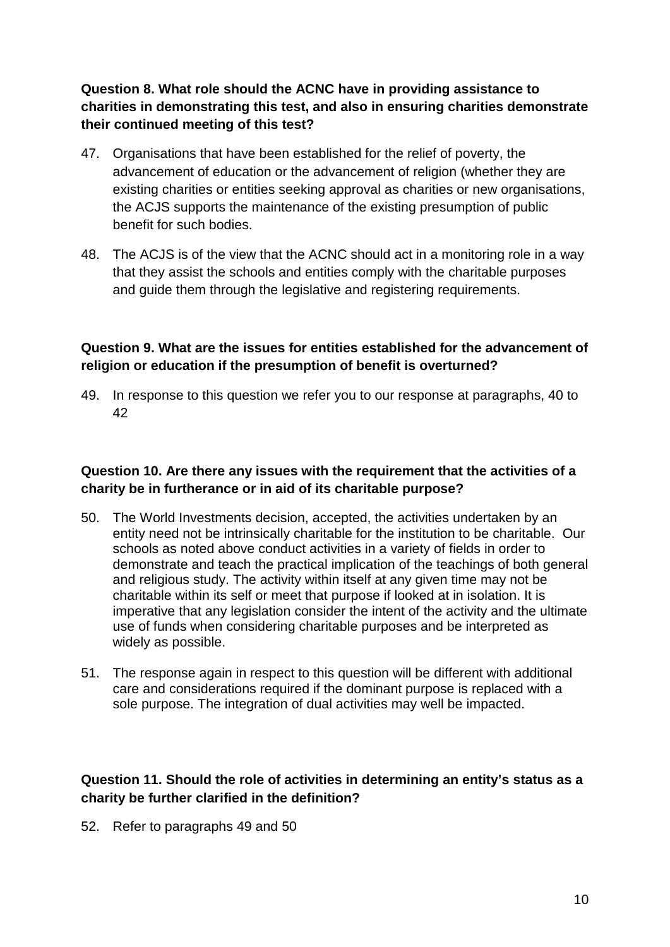# **Question 8. What role should the ACNC have in providing assistance to charities in demonstrating this test, and also in ensuring charities demonstrate their continued meeting of this test?**

- 47. Organisations that have been established for the relief of poverty, the advancement of education or the advancement of religion (whether they are existing charities or entities seeking approval as charities or new organisations, the ACJS supports the maintenance of the existing presumption of public benefit for such bodies.
- 48. The ACJS is of the view that the ACNC should act in a monitoring role in a way that they assist the schools and entities comply with the charitable purposes and guide them through the legislative and registering requirements.

## **Question 9. What are the issues for entities established for the advancement of religion or education if the presumption of benefit is overturned?**

49. In response to this question we refer you to our response at paragraphs, 40 to 42

## **Question 10. Are there any issues with the requirement that the activities of a charity be in furtherance or in aid of its charitable purpose?**

- 50. The World Investments decision, accepted, the activities undertaken by an entity need not be intrinsically charitable for the institution to be charitable. Our schools as noted above conduct activities in a variety of fields in order to demonstrate and teach the practical implication of the teachings of both general and religious study. The activity within itself at any given time may not be charitable within its self or meet that purpose if looked at in isolation. It is imperative that any legislation consider the intent of the activity and the ultimate use of funds when considering charitable purposes and be interpreted as widely as possible.
- 51. The response again in respect to this question will be different with additional care and considerations required if the dominant purpose is replaced with a sole purpose. The integration of dual activities may well be impacted.

## **Question 11. Should the role of activities in determining an entity's status as a charity be further clarified in the definition?**

52. Refer to paragraphs 49 and 50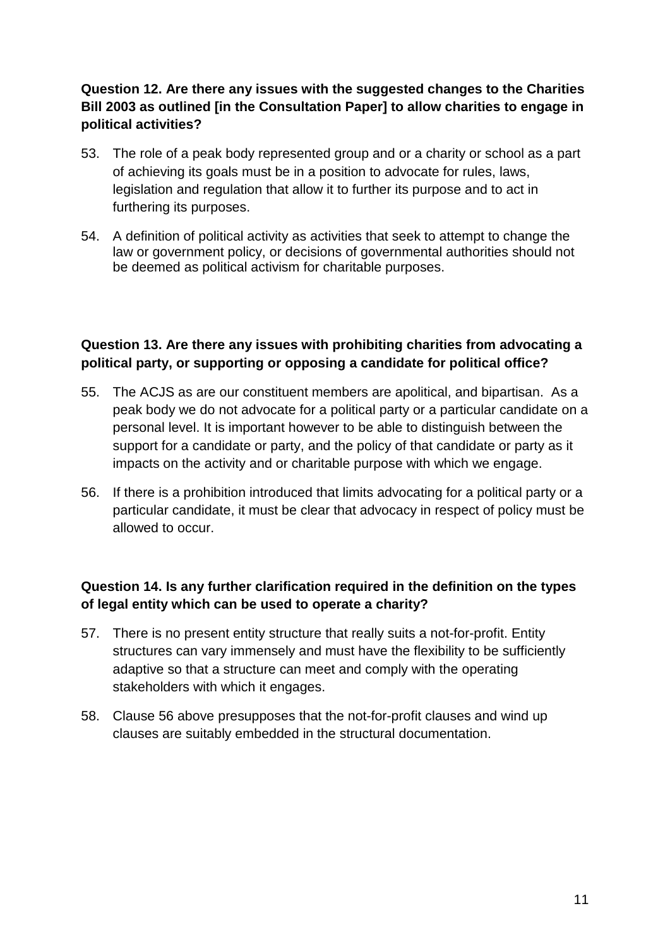# **Question 12. Are there any issues with the suggested changes to the Charities Bill 2003 as outlined [in the Consultation Paper] to allow charities to engage in political activities?**

- 53. The role of a peak body represented group and or a charity or school as a part of achieving its goals must be in a position to advocate for rules, laws, legislation and regulation that allow it to further its purpose and to act in furthering its purposes.
- 54. A definition of political activity as activities that seek to attempt to change the law or government policy, or decisions of governmental authorities should not be deemed as political activism for charitable purposes.

## **Question 13. Are there any issues with prohibiting charities from advocating a political party, or supporting or opposing a candidate for political office?**

- 55. The ACJS as are our constituent members are apolitical, and bipartisan. As a peak body we do not advocate for a political party or a particular candidate on a personal level. It is important however to be able to distinguish between the support for a candidate or party, and the policy of that candidate or party as it impacts on the activity and or charitable purpose with which we engage.
- 56. If there is a prohibition introduced that limits advocating for a political party or a particular candidate, it must be clear that advocacy in respect of policy must be allowed to occur.

## **Question 14. Is any further clarification required in the definition on the types of legal entity which can be used to operate a charity?**

- 57. There is no present entity structure that really suits a not-for-profit. Entity structures can vary immensely and must have the flexibility to be sufficiently adaptive so that a structure can meet and comply with the operating stakeholders with which it engages.
- 58. Clause 56 above presupposes that the not-for-profit clauses and wind up clauses are suitably embedded in the structural documentation.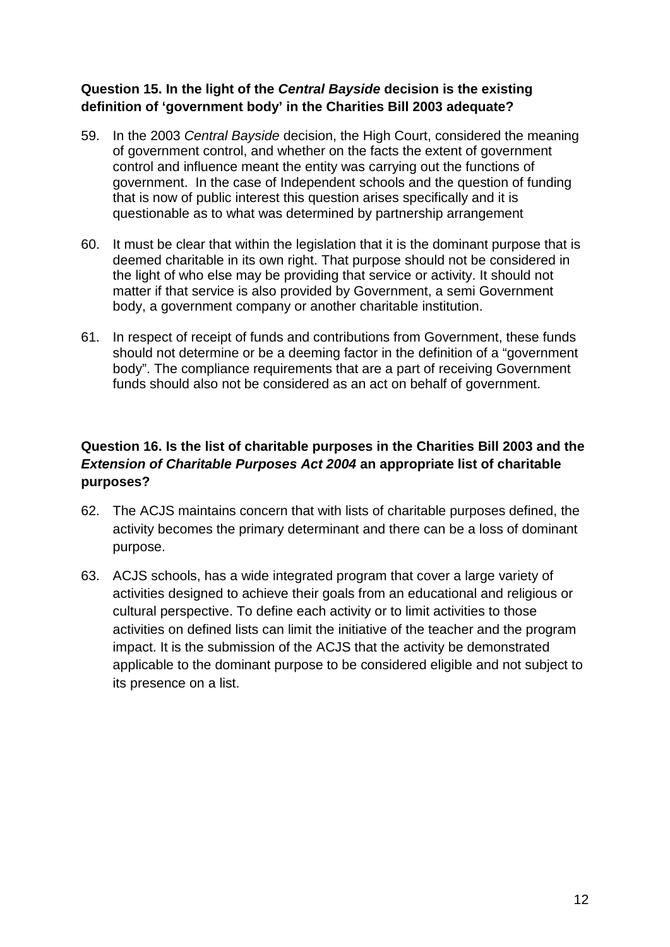## **Question 15. In the light of the** *Central Bayside* **decision is the existing definition of 'government body' in the Charities Bill 2003 adequate?**

- 59. In the 2003 *Central Bayside* decision, the High Court, considered the meaning of government control, and whether on the facts the extent of government control and influence meant the entity was carrying out the functions of government. In the case of Independent schools and the question of funding that is now of public interest this question arises specifically and it is questionable as to what was determined by partnership arrangement
- 60. It must be clear that within the legislation that it is the dominant purpose that is deemed charitable in its own right. That purpose should not be considered in the light of who else may be providing that service or activity. It should not matter if that service is also provided by Government, a semi Government body, a government company or another charitable institution.
- 61. In respect of receipt of funds and contributions from Government, these funds should not determine or be a deeming factor in the definition of a "government body". The compliance requirements that are a part of receiving Government funds should also not be considered as an act on behalf of government.

# **Question 16. Is the list of charitable purposes in the Charities Bill 2003 and the**  *Extension of Charitable Purposes Act 2004* **an appropriate list of charitable purposes?**

- 62. The ACJS maintains concern that with lists of charitable purposes defined, the activity becomes the primary determinant and there can be a loss of dominant purpose.
- 63. ACJS schools, has a wide integrated program that cover a large variety of activities designed to achieve their goals from an educational and religious or cultural perspective. To define each activity or to limit activities to those activities on defined lists can limit the initiative of the teacher and the program impact. It is the submission of the ACJS that the activity be demonstrated applicable to the dominant purpose to be considered eligible and not subject to its presence on a list.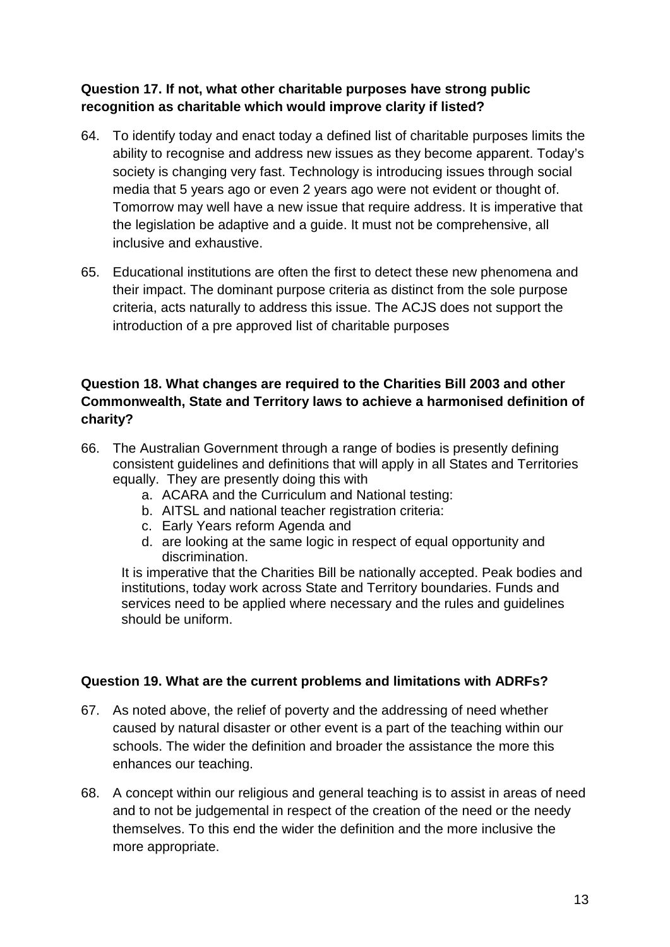# **Question 17. If not, what other charitable purposes have strong public recognition as charitable which would improve clarity if listed?**

- 64. To identify today and enact today a defined list of charitable purposes limits the ability to recognise and address new issues as they become apparent. Today's society is changing very fast. Technology is introducing issues through social media that 5 years ago or even 2 years ago were not evident or thought of. Tomorrow may well have a new issue that require address. It is imperative that the legislation be adaptive and a guide. It must not be comprehensive, all inclusive and exhaustive.
- 65. Educational institutions are often the first to detect these new phenomena and their impact. The dominant purpose criteria as distinct from the sole purpose criteria, acts naturally to address this issue. The ACJS does not support the introduction of a pre approved list of charitable purposes

## **Question 18. What changes are required to the Charities Bill 2003 and other Commonwealth, State and Territory laws to achieve a harmonised definition of charity?**

- 66. The Australian Government through a range of bodies is presently defining consistent guidelines and definitions that will apply in all States and Territories equally. They are presently doing this with
	- a. ACARA and the Curriculum and National testing:
	- b. AITSL and national teacher registration criteria:
	- c. Early Years reform Agenda and
	- d. are looking at the same logic in respect of equal opportunity and discrimination.

It is imperative that the Charities Bill be nationally accepted. Peak bodies and institutions, today work across State and Territory boundaries. Funds and services need to be applied where necessary and the rules and guidelines should be uniform.

## **Question 19. What are the current problems and limitations with ADRFs?**

- 67. As noted above, the relief of poverty and the addressing of need whether caused by natural disaster or other event is a part of the teaching within our schools. The wider the definition and broader the assistance the more this enhances our teaching.
- 68. A concept within our religious and general teaching is to assist in areas of need and to not be judgemental in respect of the creation of the need or the needy themselves. To this end the wider the definition and the more inclusive the more appropriate.